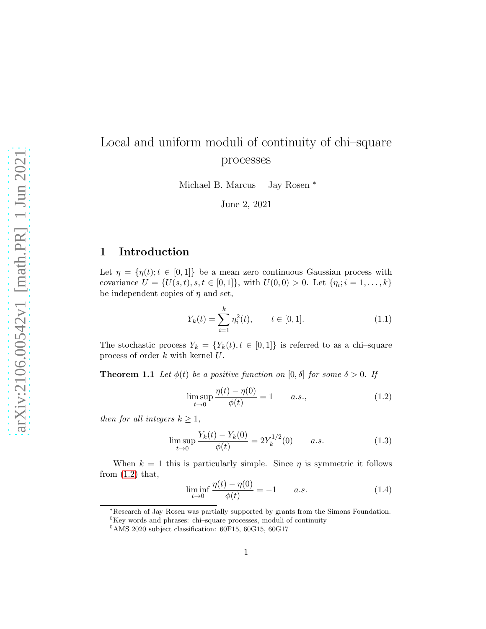## Local and uniform moduli of continuity of chi–square processes

Michael B. Marcus Jay Rosen <sup>\*</sup>

June 2, 2021

## 1 Introduction

Let  $\eta = {\eta(t); t \in [0,1]}$  be a mean zero continuous Gaussian process with covariance  $U = \{U(s,t), s,t \in [0,1]\},\$  with  $U(0,0) > 0$ . Let  $\{\eta_i; i = 1,\ldots,k\}$ be independent copies of  $\eta$  and set,

<span id="page-0-3"></span>
$$
Y_k(t) = \sum_{i=1}^k \eta_i^2(t), \qquad t \in [0, 1].
$$
 (1.1)

<span id="page-0-2"></span>The stochastic process  $Y_k = \{Y_k(t), t \in [0,1]\}$  is referred to as a chi-square process of order  $k$  with kernel  $U$ .

**Theorem 1.1** Let  $\phi(t)$  be a positive function on  $[0, \delta]$  for some  $\delta > 0$ . If

<span id="page-0-0"></span>
$$
\limsup_{t \to 0} \frac{\eta(t) - \eta(0)}{\phi(t)} = 1 \qquad a.s., \tag{1.2}
$$

then for all integers  $k \geq 1$ ,

<span id="page-0-1"></span>
$$
\limsup_{t \to 0} \frac{Y_k(t) - Y_k(0)}{\phi(t)} = 2Y_k^{1/2}(0) \qquad a.s. \tag{1.3}
$$

When  $k = 1$  this is particularly simple. Since  $\eta$  is symmetric it follows from  $(1.2)$  that,

$$
\liminf_{t \to 0} \frac{\eta(t) - \eta(0)}{\phi(t)} = -1 \qquad a.s.
$$
\n(1.4)

<sup>∗</sup>Research of Jay Rosen was partially supported by grants from the Simons Foundation.

 ${}^{0}\mathrm{Key}$  words and phrases: chi–square processes, moduli of continuity

 $0^0$ AMS 2020 subject classification: 60F15, 60G15, 60G17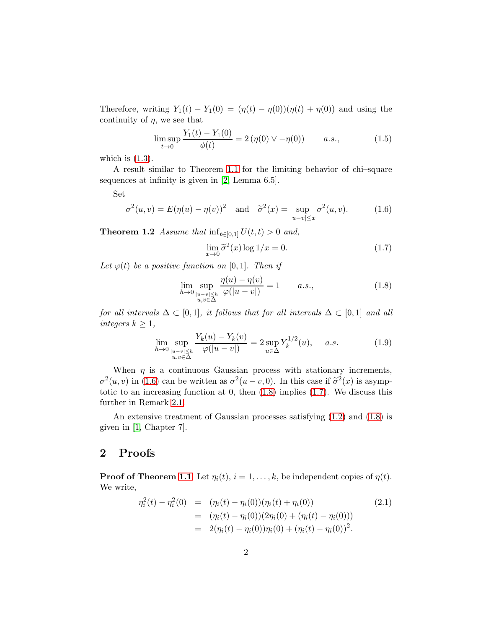Therefore, writing  $Y_1(t) - Y_1(0) = (\eta(t) - \eta(0))(\eta(t) + \eta(0))$  and using the continuity of  $\eta$ , we see that

$$
\limsup_{t \to 0} \frac{Y_1(t) - Y_1(0)}{\phi(t)} = 2(\eta(0) \vee -\eta(0)) \qquad a.s., \tag{1.5}
$$

which is  $(1.3)$ .

A result similar to Theorem [1.1](#page-0-2) for the limiting behavior of chi–square sequences at infinity is given in [\[2,](#page-10-0) Lemma 6.5].

Set

<span id="page-1-0"></span>
$$
\sigma^{2}(u,v) = E(\eta(u) - \eta(v))^{2} \quad \text{and} \quad \tilde{\sigma}^{2}(x) = \sup_{|u-v| \le x} \sigma^{2}(u,v). \quad (1.6)
$$

<span id="page-1-3"></span>**Theorem 1.2** Assume that  $\inf_{t \in [0,1]} U(t,t) > 0$  and,

<span id="page-1-2"></span>
$$
\lim_{x \to 0} \tilde{\sigma}^2(x) \log 1/x = 0. \tag{1.7}
$$

Let  $\varphi(t)$  be a positive function on [0, 1]. Then if

<span id="page-1-1"></span>
$$
\lim_{h \to 0} \sup_{\substack{|u-v| \le h \\ u,v \in \Delta}} \frac{\eta(u) - \eta(v)}{\varphi(|u-v|)} = 1 \qquad a.s., \tag{1.8}
$$

for all intervals  $\Delta \subset [0,1]$ , it follows that for all intervals  $\Delta \subset [0,1]$  and all integers  $k \geq 1$ ,

<span id="page-1-4"></span>
$$
\lim_{h \to 0} \sup_{\substack{|u-v| \le h \\ u,v \in \Delta}} \frac{Y_k(u) - Y_k(v)}{\varphi(|u-v|)} = 2 \sup_{u \in \Delta} Y_k^{1/2}(u), \quad a.s. \tag{1.9}
$$

When  $\eta$  is a continuous Gaussian process with stationary increments,  $\sigma^2(u, v)$  in [\(1.6\)](#page-1-0) can be written as  $\sigma^2(u - v, 0)$ . In this case if  $\tilde{\sigma}^2(x)$  is asymptotic to an increasing function at  $0$ , then  $(1.8)$  implies  $(1.7)$ . We discuss this further in Remark [2.1.](#page-10-1)

An extensive treatment of Gaussian processes satisfying [\(1.2\)](#page-0-0) and [\(1.8\)](#page-1-1) is given in [\[1,](#page-10-2) Chapter 7].

## 2 Proofs

**Proof of Theorem [1.1](#page-0-2)** Let  $\eta_i(t)$ ,  $i = 1, \ldots, k$ , be independent copies of  $\eta(t)$ . We write,

$$
\eta_i^2(t) - \eta_i^2(0) = (\eta_i(t) - \eta_i(0))(\eta_i(t) + \eta_i(0))
$$
\n
$$
= (\eta_i(t) - \eta_i(0))(2\eta_i(0) + (\eta_i(t) - \eta_i(0)))
$$
\n
$$
= 2(\eta_i(t) - \eta_i(0))\eta_i(0) + (\eta_i(t) - \eta_i(0))^2.
$$
\n(2.1)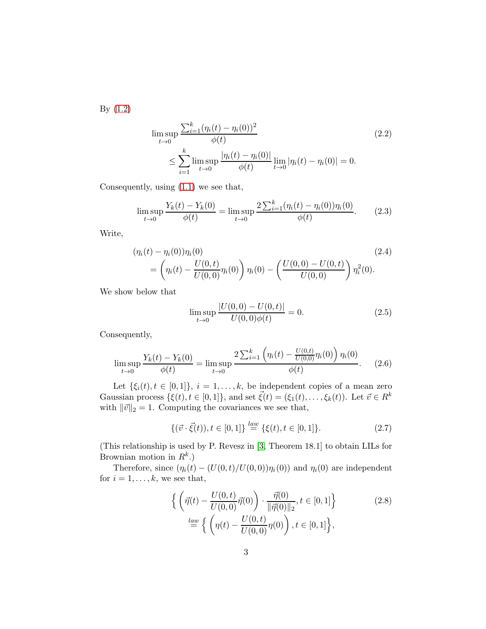By [\(1.2\)](#page-0-0)

$$
\limsup_{t \to 0} \frac{\sum_{i=1}^{k} (\eta_i(t) - \eta_i(0))^2}{\phi(t)} \le \sum_{i=1}^{k} \limsup_{t \to 0} \frac{|\eta_i(t) - \eta_i(0)|}{\phi(t)} \lim_{t \to 0} |\eta_i(t) - \eta_i(0)| = 0.
$$
\n(2.2)

Consequently, using [\(1.1\)](#page-0-3) we see that,

$$
\limsup_{t \to 0} \frac{Y_k(t) - Y_k(0)}{\phi(t)} = \limsup_{t \to 0} \frac{2 \sum_{i=1}^k (\eta_i(t) - \eta_i(0)) \eta_i(0)}{\phi(t)}.
$$
 (2.3)

Write,

<span id="page-2-1"></span>
$$
(\eta_i(t) - \eta_i(0))\eta_i(0)
$$
\n
$$
= \left(\eta_i(t) - \frac{U(0,t)}{U(0,0)}\eta_i(0)\right)\eta_i(0) - \left(\frac{U(0,0) - U(0,t)}{U(0,0)}\right)\eta_i^2(0).
$$
\n(2.4)

We show below that

<span id="page-2-2"></span>
$$
\limsup_{t \to 0} \frac{|U(0,0) - U(0,t)|}{U(0,0)\phi(t)} = 0.
$$
\n(2.5)

Consequently,

<span id="page-2-0"></span>
$$
\limsup_{t \to 0} \frac{Y_k(t) - Y_k(0)}{\phi(t)} = \limsup_{t \to 0} \frac{2 \sum_{i=1}^k \left( \eta_i(t) - \frac{U(0,t)}{U(0,0)} \eta_i(0) \right) \eta_i(0)}{\phi(t)}.
$$
 (2.6)

Let  $\{\xi_i(t), t \in [0,1]\}, i = 1, \ldots, k$ , be independent copies of a mean zero Gaussian process  $\{\xi(t), t \in [0,1]\},$  and set  $\vec{\xi}(t) = (\xi_1(t), \ldots, \xi_k(t))$ . Let  $\vec{v} \in R^k$ with  $\|\vec{v}\|_2 = 1$ . Computing the covariances we see that,

<span id="page-2-3"></span>
$$
\{(\vec{v} \cdot \vec{\xi}(t)), t \in [0, 1]\} \stackrel{law}{=} \{\xi(t), t \in [0, 1]\}.
$$
 (2.7)

(This relationship is used by P. Revesz in [\[3,](#page-10-3) Theorem 18.1] to obtain LILs for Brownian motion in  $R^k$ .)

Therefore, since  $(\eta_i(t) - (U(0,t)/U(0,0))\eta_i(0))$  and  $\eta_i(0)$  are independent for  $i = 1, \ldots, k$ , we see that,

$$
\left\{ \left( \vec{\eta}(t) - \frac{U(0, t)}{U(0, 0)} \vec{\eta}(0) \right) \cdot \frac{\vec{\eta}(0)}{\|\vec{\eta}(0)\|_2}, t \in [0, 1] \right\}
$$
\n
$$
\stackrel{law}{=} \left\{ \left( \eta(t) - \frac{U(0, t)}{U(0, 0)} \eta(0) \right), t \in [0, 1] \right\},
$$
\n(2.8)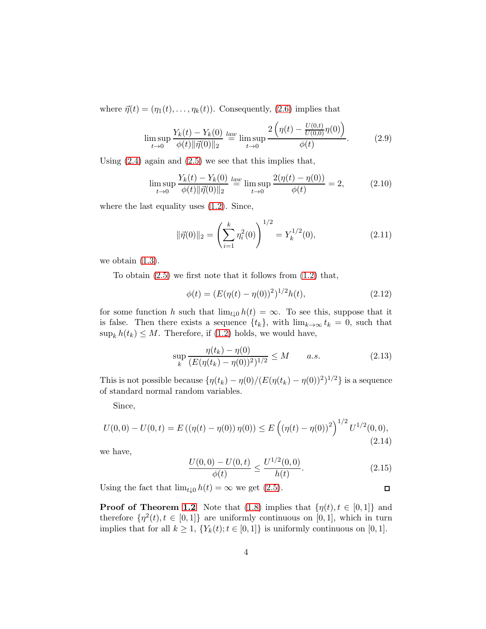where  $\vec{\eta}(t) = (\eta_1(t), \dots, \eta_k(t))$ . Consequently, [\(2.6\)](#page-2-0) implies that

$$
\limsup_{t \to 0} \frac{Y_k(t) - Y_k(0)}{\phi(t) \|\vec{\eta}(0)\|_2} \stackrel{law}{=} \limsup_{t \to 0} \frac{2\left(\eta(t) - \frac{U(0,t)}{U(0,0)}\eta(0)\right)}{\phi(t)}.
$$
 (2.9)

Using  $(2.4)$  again and  $(2.5)$  we see that this implies that,

$$
\limsup_{t \to 0} \frac{Y_k(t) - Y_k(0)}{\phi(t) \|\vec{\eta}(0)\|_2} \stackrel{law}{=} \limsup_{t \to 0} \frac{2(\eta(t) - \eta(0))}{\phi(t)} = 2,\tag{2.10}
$$

where the last equality uses  $(1.2)$ . Since,

<span id="page-3-0"></span>
$$
\|\vec{\eta}(0)\|_2 = \left(\sum_{i=1}^k \eta_i^2(0)\right)^{1/2} = Y_k^{1/2}(0),\tag{2.11}
$$

we obtain  $(1.3)$ .

To obtain  $(2.5)$  we first note that it follows from  $(1.2)$  that,

<span id="page-3-1"></span>
$$
\phi(t) = (E(\eta(t) - \eta(0)))^{2})^{1/2}h(t),
$$
\n(2.12)

for some function h such that  $\lim_{t\downarrow 0} h(t) = \infty$ . To see this, suppose that it is false. Then there exists a sequence  $\{t_k\}$ , with  $\lim_{k\to\infty} t_k = 0$ , such that  $\sup_k h(t_k) \leq M$ . Therefore, if [\(1.2\)](#page-0-0) holds, we would have,

$$
\sup_{k} \frac{\eta(t_k) - \eta(0)}{(E(\eta(t_k) - \eta(0))^2)^{1/2}} \le M \qquad a.s.
$$
\n(2.13)

This is not possible because  $\{\eta(t_k) - \eta(0)/(E(\eta(t_k) - \eta(0))^2)^{1/2}\}\$ is a sequence of standard normal random variables.

Since,

$$
U(0,0) - U(0,t) = E((\eta(t) - \eta(0))\,\eta(0)) \le E((\eta(t) - \eta(0)))^2\right)^{1/2}U^{1/2}(0,0),\tag{2.14}
$$

we have,

$$
\frac{U(0,0) - U(0,t)}{\phi(t)} \le \frac{U^{1/2}(0,0)}{h(t)}.\tag{2.15}
$$

Using the fact that  $\lim_{t\downarrow 0} h(t) = \infty$  we get [\(2.5\)](#page-2-2).  $\Box$ 

**Proof of Theorem [1.2](#page-1-3)** Note that [\(1.8\)](#page-1-1) implies that  $\{\eta(t), t \in [0, 1]\}$  and therefore  $\{\eta^2(t), t \in [0,1]\}$  are uniformly continuous on [0,1], which in turn implies that for all  $k \geq 1$ ,  $\{Y_k(t); t \in [0,1]\}$  is uniformly continuous on [0, 1].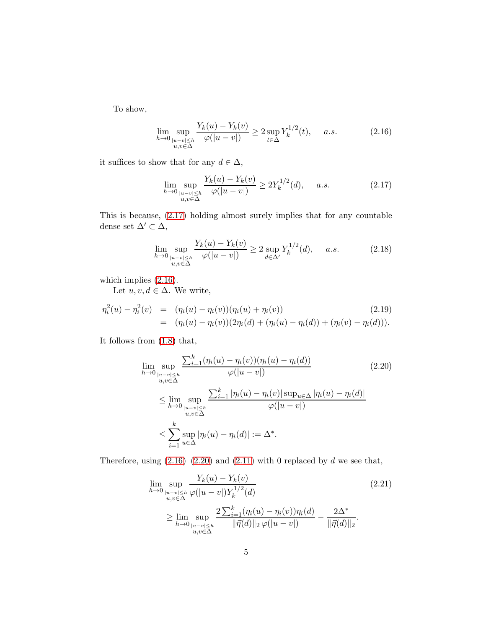To show,

<span id="page-4-1"></span>
$$
\lim_{h \to 0} \sup_{\substack{|u-v| \le h \\ u,v \in \Delta}} \frac{Y_k(u) - Y_k(v)}{\varphi(|u-v|)} \ge 2 \sup_{t \in \Delta} Y_k^{1/2}(t), \quad a.s. \tag{2.16}
$$

it suffices to show that for any  $d \in \Delta$ ,

<span id="page-4-0"></span>
$$
\lim_{h \to 0} \sup_{\substack{|u-v| \le h \\ u,v \in \Delta}} \frac{Y_k(u) - Y_k(v)}{\varphi(|u-v|)} \ge 2Y_k^{1/2}(d), \quad a.s. \tag{2.17}
$$

This is because, [\(2.17\)](#page-4-0) holding almost surely implies that for any countable dense set  $\Delta' \subset \Delta$ ,

$$
\lim_{h \to 0} \sup_{\substack{|u-v| \le h \\ u,v \in \Delta}} \frac{Y_k(u) - Y_k(v)}{\varphi(|u-v|)} \ge 2 \sup_{d \in \Delta'} Y_k^{1/2}(d), \quad a.s. \tag{2.18}
$$

which implies  $(2.16)$ .

Let  $u, v, d \in \Delta$ . We write,

$$
\eta_i^2(u) - \eta_i^2(v) = (\eta_i(u) - \eta_i(v))(\eta_i(u) + \eta_i(v))
$$
\n
$$
= (\eta_i(u) - \eta_i(v))(2\eta_i(d) + (\eta_i(u) - \eta_i(d)) + (\eta_i(v) - \eta_i(d))).
$$
\n(2.19)

It follows from [\(1.8\)](#page-1-1) that,

<span id="page-4-2"></span>
$$
\lim_{h \to 0} \sup_{\substack{|u-v| \le h \\ u,v \in \Delta}} \frac{\sum_{i=1}^{k} (\eta_i(u) - \eta_i(v))(\eta_i(u) - \eta_i(d))}{\varphi(|u-v|)}
$$
\n
$$
\le \lim_{h \to 0} \sup_{\substack{|u-v| \le h \\ u,v \in \Delta}} \frac{\sum_{i=1}^{k} |\eta_i(u) - \eta_i(v)| \sup_{u \in \Delta} |\eta_i(u) - \eta_i(d)|}{\varphi(|u-v|)}
$$
\n
$$
\le \sum_{i=1}^{k} \sup_{u \in \Delta} |\eta_i(u) - \eta_i(d)| := \Delta^*.
$$
\n(2.20)

Therefore, using  $(2.16)$ – $(2.20)$  and  $(2.11)$  with 0 replaced by d we see that,

<span id="page-4-3"></span>
$$
\lim_{h \to 0} \sup_{\substack{|u-v| \le h \\ u,v \in \Delta}} \frac{Y_k(u) - Y_k(v)}{\varphi(|u-v|) Y_k^{1/2}(d)} \tag{2.21}
$$
\n
$$
\ge \lim_{h \to 0} \sup_{\substack{|u-v| \le h \\ u,v \in \Delta}} \frac{2 \sum_{i=1}^k (\eta_i(u) - \eta_i(v)) \eta_i(d)}{\|\vec{\eta}(d)\|_2 \varphi(|u-v|)} - \frac{2 \Delta^*}{\|\vec{\eta}(d)\|_2}.
$$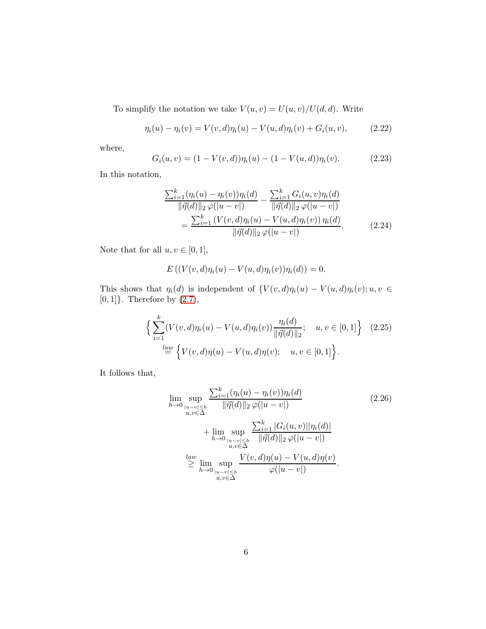To simplify the notation we take  $V(u, v) = U(u, v)/U(d, d)$ . Write

<span id="page-5-0"></span>
$$
\eta_i(u) - \eta_i(v) = V(v, d)\eta_i(u) - V(u, d)\eta_i(v) + G_i(u, v), \qquad (2.22)
$$

where,

$$
G_i(u, v) = (1 - V(v, d))\eta_i(u) - (1 - V(u, d))\eta_i(v).
$$
 (2.23)

In this notation,

$$
\frac{\sum_{i=1}^{k} (\eta_i(u) - \eta_i(v))\eta_i(d)}{\|\vec{\eta}(d)\|_2 \varphi(|u-v|)} - \frac{\sum_{i=1}^{k} G_i(u,v)\eta_i(d)}{\|\vec{\eta}(d)\|_2 \varphi(|u-v|)} \n= \frac{\sum_{i=1}^{k} (V(v,d)\eta_i(u) - V(u,d)\eta_i(v))\eta_i(d)}{\|\vec{\eta}(d)\|_2 \varphi(|u-v|)}.
$$
\n(2.24)

Note that for all  $u, v \in [0, 1],$ 

$$
E\left(\left(V(v,d)\eta_i(u)-V(u,d)\eta_i(v)\right)\eta_i(d)\right)=0.
$$

This shows that  $\eta_i(d)$  is independent of  $\{V(v,d)\eta_i(u) - V(u,d)\eta_i(v); u, v \in$ [0, 1]}. Therefore by [\(2.7\)](#page-2-3),

$$
\left\{ \sum_{i=1}^{k} (V(v, d)\eta_i(u) - V(u, d)\eta_i(v)) \frac{\eta_i(d)}{\|\vec{\eta}(d)\|_2}; \quad u, v \in [0, 1] \right\} \quad (2.25)
$$
  

$$
\stackrel{law}{=} \left\{ V(v, d)\eta(u) - V(u, d)\eta(v); \quad u, v \in [0, 1] \right\}.
$$

It follows that,

<span id="page-5-1"></span>
$$
\lim_{h \to 0} \sup_{\substack{|u-v| \le h \\ u,v \in \Delta}} \frac{\sum_{i=1}^{k} (\eta_i(u) - \eta_i(v)) \eta_i(d)}{\|\vec{\eta}(d)\|_2 \varphi(|u-v|)} \tag{2.26}
$$
\n
$$
+ \lim_{h \to 0} \sup_{\substack{|u-v| \le h \\ u,v \in \Delta}} \frac{\sum_{i=1}^{k} |G_i(u,v)||\eta_i(d)|}{\|\vec{\eta}(d)\|_2 \varphi(|u-v|)}
$$
\n
$$
\stackrel{law}{\geq} \lim_{h \to 0} \sup_{\substack{|u-v| \le h \\ u,v \in \Delta}} \frac{V(v,d)\eta(u) - V(u,d)\eta(v)}{\varphi(|u-v|)}.
$$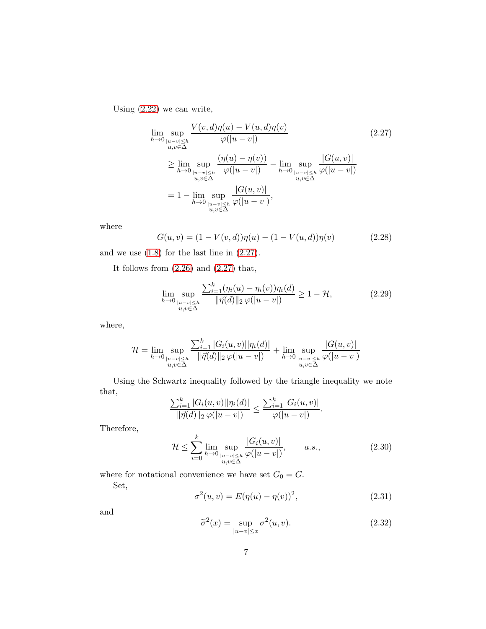Using [\(2.22\)](#page-5-0) we can write,

<span id="page-6-0"></span>
$$
\lim_{h \to 0} \sup_{\substack{|u-v| \le h \\ u,v \in \Delta}} \frac{V(v,d)\eta(u) - V(u,d)\eta(v)}{\varphi(|u-v|)} \tag{2.27}
$$
\n
$$
\ge \lim_{h \to 0} \sup_{\substack{|u-v| \le h \\ u,v \in \Delta}} \frac{(\eta(u) - \eta(v))}{\varphi(|u-v|)} - \lim_{h \to 0} \sup_{\substack{|u-v| \le h \\ u,v \in \Delta}} \frac{|G(u,v)|}{\varphi(|u-v|)}
$$
\n
$$
= 1 - \lim_{h \to 0} \sup_{\substack{|u-v| \le h \\ u,v \in \Delta}} \frac{|G(u,v)|}{\varphi(|u-v|)},
$$

where

$$
G(u, v) = (1 - V(v, d))\eta(u) - (1 - V(u, d))\eta(v)
$$
\n(2.28)

and we use [\(1.8\)](#page-1-1) for the last line in [\(2.27\)](#page-6-0).

It follows from  $(2.26)$  and  $(2.27)$  that,

<span id="page-6-2"></span>
$$
\lim_{h \to 0} \sup_{\substack{|u-v| \le h \\ u,v \in \Delta}} \frac{\sum_{i=1}^k (\eta_i(u) - \eta_i(v)) \eta_i(d)}{\|\vec{\eta}(d)\|_2 \varphi(|u-v|)} \ge 1 - \mathcal{H},\tag{2.29}
$$

where,

$$
\mathcal{H} = \lim_{h \to 0} \sup_{\substack{|u-v| \leq h \\ u,v \in \Delta}} \frac{\sum_{i=1}^k |G_i(u,v)| |\eta_i(d)|}{\|\vec{\eta}(d)\|_2 \varphi(|u-v|)} + \lim_{h \to 0} \sup_{\substack{|u-v| \leq h \\ u,v \in \Delta}} \frac{|G(u,v)|}{\varphi(|u-v|)}
$$

Using the Schwartz inequality followed by the triangle inequality we note that,

$$
\frac{\sum_{i=1}^k |G_i(u,v)||\eta_i(d)|}{\|\vec{\eta}(d)\|_2 \varphi(|u-v|)} \leq \frac{\sum_{i=1}^k |G_i(u,v)|}{\varphi(|u-v|)}.
$$

Therefore,

$$
\mathcal{H} \le \sum_{i=0}^{k} \lim_{h \to 0} \sup_{\substack{|u-v| \le h \\ u,v \in \Delta}} \frac{|G_i(u,v)|}{\varphi(|u-v|)}, \qquad a.s., \tag{2.30}
$$

where for notational convenience we have set  $G_0 = G$ .

Set,

$$
\sigma^{2}(u,v) = E(\eta(u) - \eta(v))^{2},
$$
\n(2.31)

and

<span id="page-6-1"></span>
$$
\tilde{\sigma}^2(x) = \sup_{|u-v| \le x} \sigma^2(u,v). \tag{2.32}
$$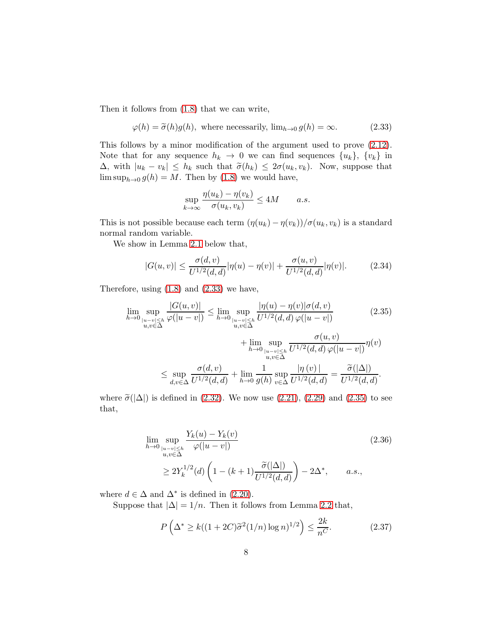Then it follows from [\(1.8\)](#page-1-1) that we can write,

<span id="page-7-0"></span>
$$
\varphi(h) = \tilde{\sigma}(h)g(h), \text{ where necessarily, } \lim_{h \to 0} g(h) = \infty. \tag{2.33}
$$

This follows by a minor modification of the argument used to prove [\(2.12\)](#page-3-1). Note that for any sequence  $h_k \to 0$  we can find sequences  $\{u_k\}, \{v_k\}$  in  $\Delta$ , with  $|u_k - v_k| \leq h_k$  such that  $\tilde{\sigma}(h_k) \leq 2\sigma(u_k, v_k)$ . Now, suppose that  $\limsup_{h\to 0} g(h) = M$ . Then by [\(1.8\)](#page-1-1) we would have,

$$
\sup_{k \to \infty} \frac{\eta(u_k) - \eta(v_k)}{\sigma(u_k, v_k)} \le 4M \qquad a.s.
$$

This is not possible because each term  $(\eta(u_k) - \eta(v_k))/\sigma(u_k, v_k)$  is a standard normal random variable.

We show in Lemma [2.1](#page-8-0) below that,

$$
|G(u,v)| \le \frac{\sigma(d,v)}{U^{1/2}(d,d)} |\eta(u) - \eta(v)| + \frac{\sigma(u,v)}{U^{1/2}(d,d)} |\eta(v)|. \tag{2.34}
$$

Therefore, using [\(1.8\)](#page-1-1) and [\(2.33\)](#page-7-0) we have,

<span id="page-7-1"></span>
$$
\lim_{h \to 0} \sup_{\substack{|u-v| \le h \\ u,v \in \Delta}} \frac{|G(u,v)|}{\varphi(|u-v|)} \le \lim_{h \to 0} \sup_{\substack{|u-v| \le h \\ u,v \in \Delta}} \frac{|\eta(u) - \eta(v)|\sigma(d,v)}{U^{1/2}(d,d)\,\varphi(|u-v|)} \qquad (2.35)
$$
\n
$$
+ \lim_{h \to 0} \sup_{\substack{|u-v| \le h \\ u,v \in \Delta}} \frac{\sigma(u,v)}{U^{1/2}(d,d)\,\varphi(|u-v|)} \eta(v)
$$
\n
$$
\le \sup_{d,v \in \Delta} \frac{\sigma(d,v)}{U^{1/2}(d,d)} + \lim_{h \to 0} \frac{1}{g(h)} \sup_{v \in \Delta} \frac{|\eta(v)|}{U^{1/2}(d,d)} = \frac{\tilde{\sigma}(|\Delta|)}{U^{1/2}(d,d)}.
$$

where  $\tilde{\sigma}(|\Delta|)$  is defined in [\(2.32\)](#page-6-1). We now use [\(2.21\)](#page-4-3), [\(2.29\)](#page-6-2) and [\(2.35\)](#page-7-1) to see that,

<span id="page-7-2"></span>
$$
\lim_{h \to 0} \sup_{\substack{|u-v| \le h \\ u,v \in \Delta}} \frac{Y_k(u) - Y_k(v)}{\varphi(|u-v|)}\n\ge 2Y_k^{1/2}(d) \left(1 - (k+1) \frac{\widetilde{\sigma}(|\Delta|)}{U^{1/2}(d,d)}\right) - 2\Delta^*, \quad a.s.,
$$
\n(2.36)

where  $d \in \Delta$  and  $\Delta^*$  is defined in [\(2.20\)](#page-4-2).

Suppose that  $|\Delta| = 1/n$ . Then it follows from Lemma [2.2](#page-9-0) that,

<span id="page-7-3"></span>
$$
P\left(\Delta^* \ge k((1+2C)\tilde{\sigma}^2(1/n)\log n)^{1/2}\right) \le \frac{2k}{n^C}.\tag{2.37}
$$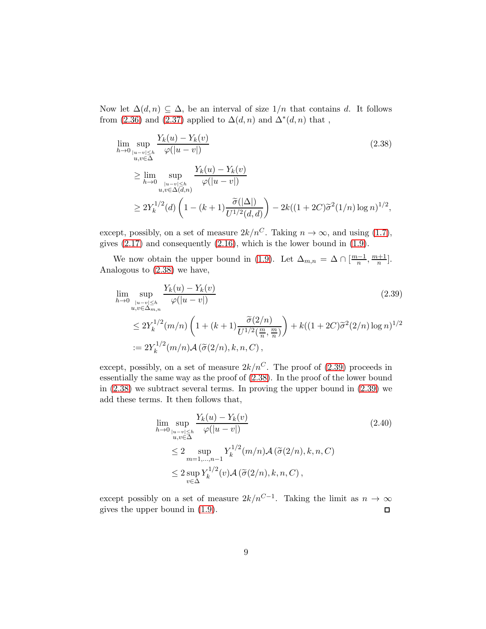Now let  $\Delta(d, n) \subseteq \Delta$ , be an interval of size  $1/n$  that contains d. It follows from [\(2.36\)](#page-7-2) and [\(2.37\)](#page-7-3) applied to  $\Delta(d, n)$  and  $\Delta^*(d, n)$  that,

<span id="page-8-1"></span>
$$
\lim_{h \to 0} \sup_{\substack{|u-v| \le h \\ u,v \in \Delta}} \frac{Y_k(u) - Y_k(v)}{\varphi(|u-v|)} \tag{2.38}
$$
\n
$$
\ge \lim_{h \to 0} \sup_{\substack{|u-v| \le h \\ u,v \in \Delta(d,n)}} \frac{Y_k(u) - Y_k(v)}{\varphi(|u-v|)} \times 2Y_k^{1/2}(d) \left(1 - (k+1) \frac{\tilde{\sigma}(|\Delta|)}{U^{1/2}(d,d)}\right) - 2k((1+2C)\tilde{\sigma}^2(1/n)\log n)^{1/2},
$$

except, possibly, on a set of measure  $2k/n^C$ . Taking  $n \to \infty$ , and using [\(1.7\)](#page-1-2), gives [\(2.17\)](#page-4-0) and consequently [\(2.16\)](#page-4-1), which is the lower bound in [\(1.9\)](#page-1-4).

We now obtain the upper bound in [\(1.9\)](#page-1-4). Let  $\Delta_{m,n} = \Delta \cap \left[\frac{m-1}{n}\right]$  $\frac{n-1}{n}, \frac{m+1}{n}$  $\frac{+1}{n}$ . Analogous to [\(2.38\)](#page-8-1) we have,

<span id="page-8-2"></span>
$$
\lim_{h \to 0} \sup_{\substack{|u-v| \le h \\ u, v \in \Delta_{m,n}}} \frac{Y_k(u) - Y_k(v)}{\varphi(|u-v|)} \tag{2.39}
$$
\n
$$
\le 2Y_k^{1/2}(m/n) \left(1 + (k+1) \frac{\tilde{\sigma}(2/n)}{U^{1/2}(\frac{m}{n}, \frac{m}{n})}\right) + k((1+2C)\tilde{\sigma}^2(2/n) \log n)^{1/2}
$$
\n
$$
:= 2Y_k^{1/2}(m/n) \mathcal{A}(\tilde{\sigma}(2/n), k, n, C),
$$

except, possibly, on a set of measure  $2k/n^C$ . The proof of [\(2.39\)](#page-8-2) proceeds in essentially the same way as the proof of [\(2.38\)](#page-8-1). In the proof of the lower bound in [\(2.38\)](#page-8-1) we subtract several terms. In proving the upper bound in [\(2.39\)](#page-8-2) we add these terms. It then follows that,

<span id="page-8-0"></span>
$$
\lim_{h \to 0} \sup_{\substack{|u-v| \le h \\ u,v \in \Delta}} \frac{Y_k(u) - Y_k(v)}{\varphi(|u-v|)}
$$
\n
$$
\le 2 \sup_{m=1,\dots,n-1} Y_k^{1/2}(m/n) \mathcal{A}(\tilde{\sigma}(2/n), k, n, C)
$$
\n
$$
\le 2 \sup_{v \in \Delta} Y_k^{1/2}(v) \mathcal{A}(\tilde{\sigma}(2/n), k, n, C),
$$
\n(2.40)

except possibly on a set of measure  $2k/n^{C-1}$ . Taking the limit as  $n \to \infty$ gives the upper bound in [\(1.9\)](#page-1-4).  $\Box$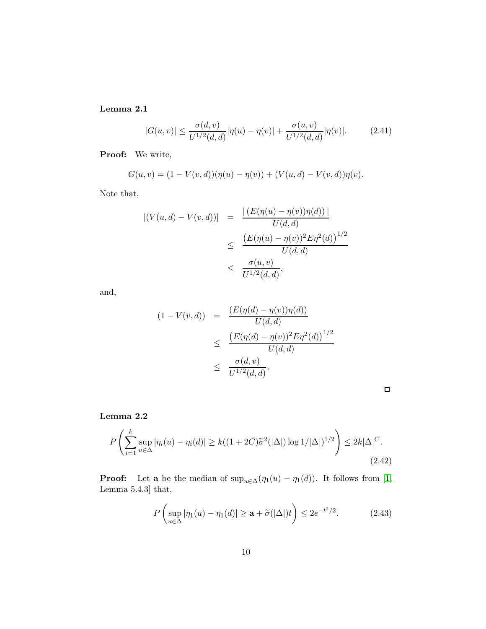Lemma 2.1

$$
|G(u,v)| \le \frac{\sigma(d,v)}{U^{1/2}(d,d)} |\eta(u) - \eta(v)| + \frac{\sigma(u,v)}{U^{1/2}(d,d)} |\eta(v)|. \tag{2.41}
$$

Proof: We write,

$$
G(u, v) = (1 - V(v, d))(\eta(u) - \eta(v)) + (V(u, d) - V(v, d))\eta(v).
$$

Note that,

$$
|(V(u, d) - V(v, d))| = \frac{|(E(\eta(u) - \eta(v))\eta(d))|}{U(d, d)}
$$
  

$$
\leq \frac{(E(\eta(u) - \eta(v))^2 E\eta^2(d))^{1/2}}{U(d, d)}
$$
  

$$
\leq \frac{\sigma(u, v)}{U^{1/2}(d, d)},
$$

and,

$$
(1 - V(v, d)) = \frac{(E(\eta(d) - \eta(v))\eta(d))}{U(d, d)}
$$
  
 
$$
\leq \frac{(E(\eta(d) - \eta(v))^2 E\eta^2(d))^{1/2}}{U(d, d)}
$$
  
 
$$
\leq \frac{\sigma(d, v)}{U^{1/2}(d, d)}.
$$

<span id="page-9-0"></span>

Lemma 2.2

<span id="page-9-1"></span>
$$
P\left(\sum_{i=1}^{k} \sup_{u \in \Delta} |\eta_i(u) - \eta_i(d)| \ge k((1 + 2C)\tilde{\sigma}^2(|\Delta|) \log 1/|\Delta|)^{1/2}\right) \le 2k|\Delta|^C.
$$
\n(2.42)

**Proof:** Let **a** be the median of  $\sup_{u \in \Delta} (\eta_1(u) - \eta_1(d))$ . It follows from [\[1,](#page-10-2) Lemma 5.4.3] that,

$$
P\left(\sup_{u\in\Delta}|\eta_1(u)-\eta_1(d)|\geq \mathbf{a}+\widetilde{\sigma}(|\Delta|)t\right)\leq 2e^{-t^2/2}.\tag{2.43}
$$